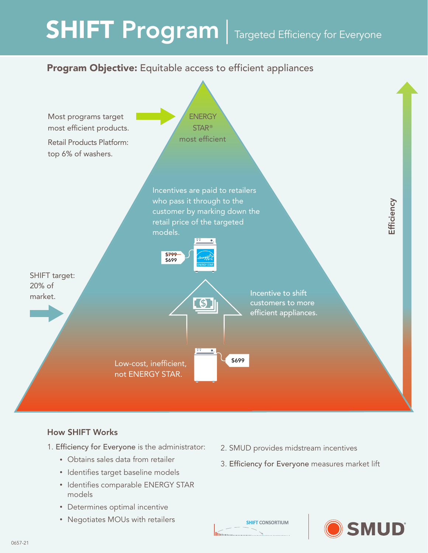# SHIFT Program | Targeted Efficiency for Everyone

## Program Objective: Equitable access to efficient appliances



### **How SHIFT Works**

- 1. Efficiency for Everyone is the administrator:
	- Obtains sales data from retailer
	- Identifies target baseline models
	- Identifies comparable ENERGY STAR models
	- Determines optimal incentive
	- Negotiates MOUs with retailers
- 2. SMUD provides midstream incentives
- 3. Efficiency for Everyone measures market lift